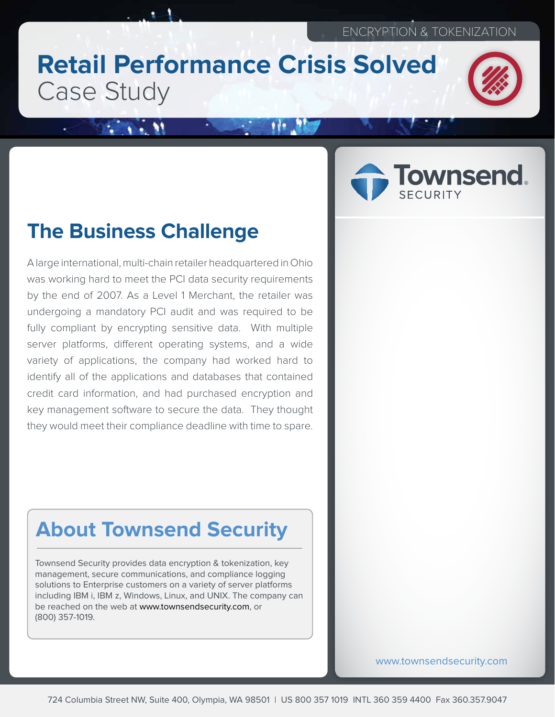# **Retail Performance Crisis Solved** Case Study

## **The Business Challenge**

A large international, multi-chain retailer headquartered in Ohio was working hard to meet the PCI data security requirements by the end of 2007. As a Level 1 Merchant, the retailer was undergoing a mandatory PCI audit and was required to be fully compliant by encrypting sensitive data. With multiple server platforms, different operating systems, and a wide variety of applications, the company had worked hard to identify all of the applications and databases that contained credit card information, and had purchased encryption and key management software to secure the data. They thought they would meet their compliance deadline with time to spare.

## **About Townsend Security**

Townsend Security provides data encryption & tokenization, key management, secure communications, and compliance logging solutions to Enterprise customers on a variety of server platforms including IBM i, IBM z, Windows, Linux, and UNIX. The company can be reached on the web at www.townsendsecurity.com, or (800) 357-1019.



www.townsendsecurity.com